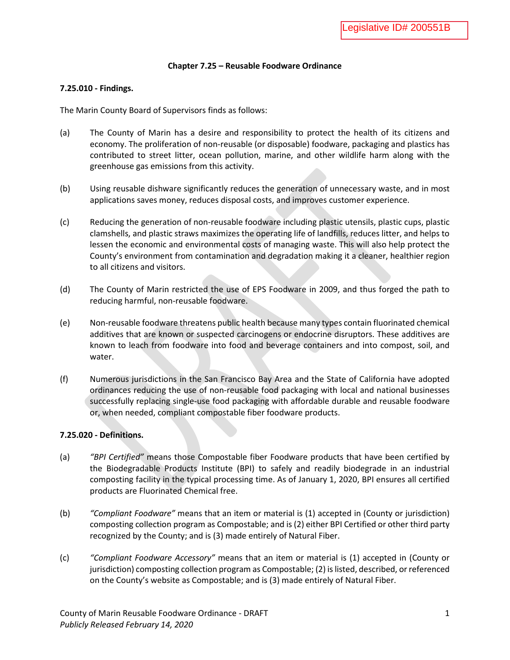#### **Chapter 7.25 – Reusable Foodware Ordinance**

#### **7.25.010 - Findings.**

The Marin County Board of Supervisors finds as follows:

- (a) The County of Marin has a desire and responsibility to protect the health of its citizens and economy. The proliferation of non-reusable (or disposable) foodware, packaging and plastics has contributed to street litter, ocean pollution, marine, and other wildlife harm along with the greenhouse gas emissions from this activity.
- (b) Using reusable dishware significantly reduces the generation of unnecessary waste, and in most applications saves money, reduces disposal costs, and improves customer experience.
- (c) Reducing the generation of non-reusable foodware including plastic utensils, plastic cups, plastic clamshells, and plastic straws maximizes the operating life of landfills, reduces litter, and helps to lessen the economic and environmental costs of managing waste. This will also help protect the County's environment from contamination and degradation making it a cleaner, healthier region to all citizens and visitors.
- (d) The County of Marin restricted the use of EPS Foodware in 2009, and thus forged the path to reducing harmful, non-reusable foodware.
- (e) Non-reusable foodware threatens public health because many types contain fluorinated chemical additives that are known or suspected carcinogens or endocrine disruptors. These additives are known to leach from foodware into food and beverage containers and into compost, soil, and water.
- (f) Numerous jurisdictions in the San Francisco Bay Area and the State of California have adopted ordinances reducing the use of non-reusable food packaging with local and national businesses successfully replacing single-use food packaging with affordable durable and reusable foodware or, when needed, compliant compostable fiber foodware products.

#### **7.25.020 - Definitions.**

- (a) *"BPI Certified"* means those Compostable fiber Foodware products that have been certified by the Biodegradable Products Institute (BPI) to safely and readily biodegrade in an industrial composting facility in the typical processing time. As of January 1, 2020, BPI ensures all certified products are Fluorinated Chemical free.
- (b) *"Compliant Foodware"* means that an item or material is (1) accepted in (County or jurisdiction) composting collection program as Compostable; and is (2) either BPI Certified or other third party recognized by the County; and is (3) made entirely of Natural Fiber.
- (c) *"Compliant Foodware Accessory"* means that an item or material is (1) accepted in (County or jurisdiction) composting collection program as Compostable; (2) is listed, described, or referenced on the County's website as Compostable; and is (3) made entirely of Natural Fiber.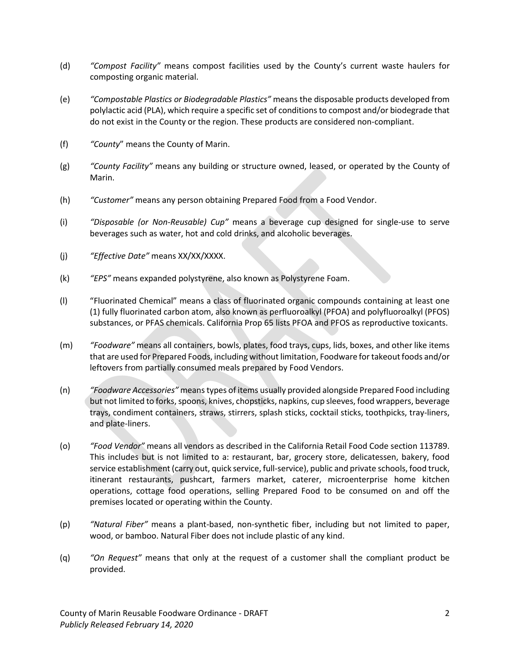- (d) *"Compost Facility"* means compost facilities used by the County's current waste haulers for composting organic material.
- (e) *"Compostable Plastics or Biodegradable Plastics"* means the disposable products developed from polylactic acid (PLA), which require a specific set of conditions to compost and/or biodegrade that do not exist in the County or the region. These products are considered non-compliant.
- (f) *"County*" means the County of Marin.
- (g) *"County Facility"* means any building or structure owned, leased, or operated by the County of Marin.
- (h) *"Customer"* means any person obtaining Prepared Food from a Food Vendor.
- (i) *"Disposable (or Non-Reusable) Cup"* means a beverage cup designed for single-use to serve beverages such as water, hot and cold drinks, and alcoholic beverages.
- (j) *"Effective Date"* means XX/XX/XXXX.
- (k) *"EPS"* means expanded polystyrene, also known as Polystyrene Foam.
- (l) "Fluorinated Chemical" means a class of fluorinated organic compounds containing at least one (1) fully fluorinated carbon atom, also known as perfluoroalkyl (PFOA) and polyfluoroalkyl (PFOS) substances, or PFAS chemicals. California Prop 65 lists PFOA and PFOS as reproductive toxicants.
- (m) *"Foodware"* means all containers, bowls, plates, food trays, cups, lids, boxes, and other like items that are used for Prepared Foods, including without limitation, Foodware for takeout foods and/or leftovers from partially consumed meals prepared by Food Vendors.
- (n) *"Foodware Accessories"* means types of items usually provided alongside Prepared Food including but not limited to forks, spoons, knives, chopsticks, napkins, cup sleeves, food wrappers, beverage trays, condiment containers, straws, stirrers, splash sticks, cocktail sticks, toothpicks, tray-liners, and plate-liners.
- (o) *"Food Vendor"* means all vendors as described in the California Retail Food Code section 113789. This includes but is not limited to a: restaurant, bar, grocery store, delicatessen, bakery, food service establishment (carry out, quick service, full-service), public and private schools, food truck, itinerant restaurants, pushcart, farmers market, caterer, microenterprise home kitchen operations, cottage food operations, selling Prepared Food to be consumed on and off the premises located or operating within the County.
- (p) *"Natural Fiber"* means a plant-based, non-synthetic fiber, including but not limited to paper, wood, or bamboo. Natural Fiber does not include plastic of any kind.
- (q) *"On Request"* means that only at the request of a customer shall the compliant product be provided.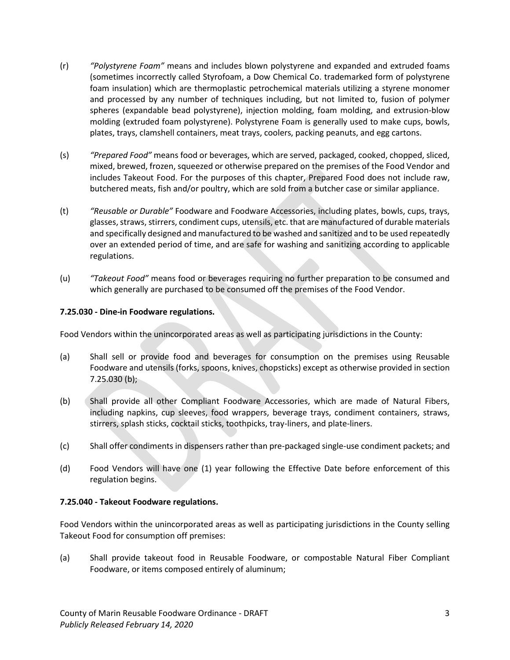- (r) *"Polystyrene Foam"* means and includes blown polystyrene and expanded and extruded foams (sometimes incorrectly called Styrofoam, a Dow Chemical Co. trademarked form of polystyrene foam insulation) which are thermoplastic petrochemical materials utilizing a styrene monomer and processed by any number of techniques including, but not limited to, fusion of polymer spheres (expandable bead polystyrene), injection molding, foam molding, and extrusion-blow molding (extruded foam polystyrene). Polystyrene Foam is generally used to make cups, bowls, plates, trays, clamshell containers, meat trays, coolers, packing peanuts, and egg cartons.
- (s) *"Prepared Food"* means food or beverages, which are served, packaged, cooked, chopped, sliced, mixed, brewed, frozen, squeezed or otherwise prepared on the premises of the Food Vendor and includes Takeout Food. For the purposes of this chapter, Prepared Food does not include raw, butchered meats, fish and/or poultry, which are sold from a butcher case or similar appliance.
- (t) *"Reusable or Durable"* Foodware and Foodware Accessories, including plates, bowls, cups, trays, glasses, straws, stirrers, condiment cups, utensils, etc. that are manufactured of durable materials and specifically designed and manufactured to be washed and sanitized and to be used repeatedly over an extended period of time, and are safe for washing and sanitizing according to applicable regulations.
- (u) *"Takeout Food"* means food or beverages requiring no further preparation to be consumed and which generally are purchased to be consumed off the premises of the Food Vendor.

# **7.25.030 - Dine-in Foodware regulations.**

Food Vendors within the unincorporated areas as well as participating jurisdictions in the County:

- (a) Shall sell or provide food and beverages for consumption on the premises using Reusable Foodware and utensils (forks, spoons, knives, chopsticks) except as otherwise provided in section 7.25.030 (b);
- (b) Shall provide all other Compliant Foodware Accessories, which are made of Natural Fibers, including napkins, cup sleeves, food wrappers, beverage trays, condiment containers, straws, stirrers, splash sticks, cocktail sticks, toothpicks, tray-liners, and plate-liners.
- (c) Shall offer condiments in dispensers rather than pre-packaged single-use condiment packets; and
- (d) Food Vendors will have one (1) year following the Effective Date before enforcement of this regulation begins.

# **7.25.040 - Takeout Foodware regulations.**

Food Vendors within the unincorporated areas as well as participating jurisdictions in the County selling Takeout Food for consumption off premises:

(a) Shall provide takeout food in Reusable Foodware, or compostable Natural Fiber Compliant Foodware, or items composed entirely of aluminum;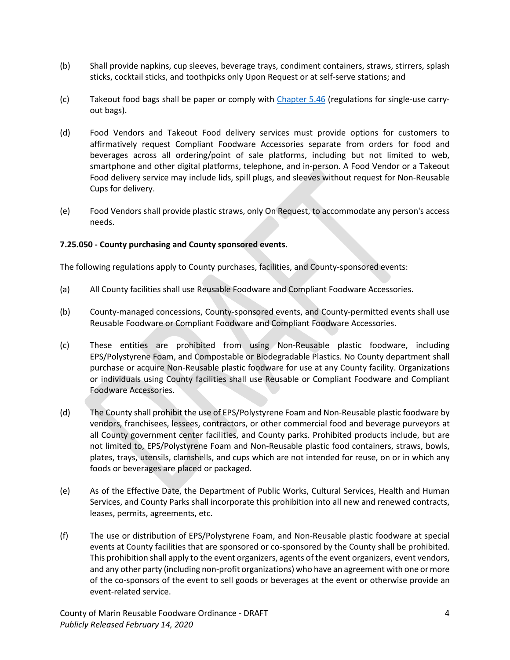- (b) Shall provide napkins, cup sleeves, beverage trays, condiment containers, straws, stirrers, splash sticks, cocktail sticks, and toothpicks only Upon Request or at self-serve stations; and
- (c) Takeout food bags shall be paper or comply with [Chapter 5.46](https://library.municode.com/ca/marin_county/codes/code_of_ordinances?nodeId=TIT5BURELI_CH5.46DIBAREOR) (regulations for single-use carryout bags).
- (d) Food Vendors and Takeout Food delivery services must provide options for customers to affirmatively request Compliant Foodware Accessories separate from orders for food and beverages across all ordering/point of sale platforms, including but not limited to web, smartphone and other digital platforms, telephone, and in-person. A Food Vendor or a Takeout Food delivery service may include lids, spill plugs, and sleeves without request for Non-Reusable Cups for delivery.
- (e) Food Vendors shall provide plastic straws, only On Request, to accommodate any person's access needs.

## **7.25.050 - County purchasing and County sponsored events.**

The following regulations apply to County purchases, facilities, and County-sponsored events:

- (a) All County facilities shall use Reusable Foodware and Compliant Foodware Accessories.
- (b) County-managed concessions, County-sponsored events, and County-permitted events shall use Reusable Foodware or Compliant Foodware and Compliant Foodware Accessories.
- (c) These entities are prohibited from using Non-Reusable plastic foodware, including EPS/Polystyrene Foam, and Compostable or Biodegradable Plastics. No County department shall purchase or acquire Non-Reusable plastic foodware for use at any County facility. Organizations or individuals using County facilities shall use Reusable or Compliant Foodware and Compliant Foodware Accessories.
- (d) The County shall prohibit the use of EPS/Polystyrene Foam and Non-Reusable plastic foodware by vendors, franchisees, lessees, contractors, or other commercial food and beverage purveyors at all County government center facilities, and County parks. Prohibited products include, but are not limited to, EPS/Polystyrene Foam and Non-Reusable plastic food containers, straws, bowls, plates, trays, utensils, clamshells, and cups which are not intended for reuse, on or in which any foods or beverages are placed or packaged.
- (e) As of the Effective Date, the Department of Public Works, Cultural Services, Health and Human Services, and County Parks shall incorporate this prohibition into all new and renewed contracts, leases, permits, agreements, etc.
- (f) The use or distribution of EPS/Polystyrene Foam, and Non-Reusable plastic foodware at special events at County facilities that are sponsored or co-sponsored by the County shall be prohibited. This prohibition shall apply to the event organizers, agents of the event organizers, event vendors, and any other party (including non-profit organizations) who have an agreement with one or more of the co-sponsors of the event to sell goods or beverages at the event or otherwise provide an event-related service.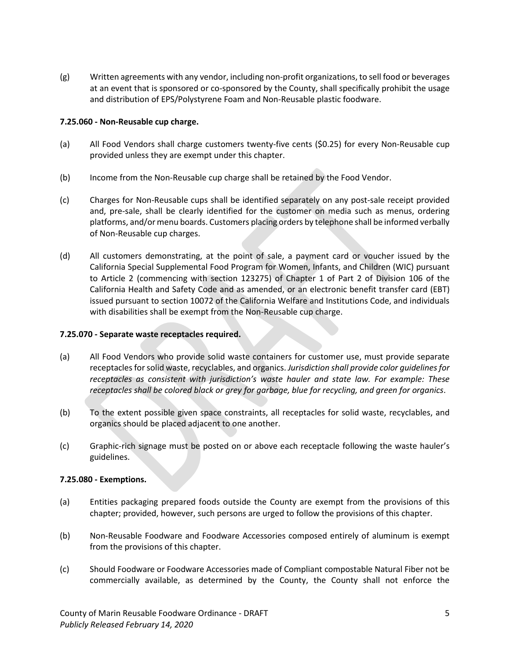(g) Written agreements with any vendor, including non-profit organizations, to sell food or beverages at an event that is sponsored or co-sponsored by the County, shall specifically prohibit the usage and distribution of EPS/Polystyrene Foam and Non-Reusable plastic foodware.

## **7.25.060 - Non-Reusable cup charge.**

- (a) All Food Vendors shall charge customers twenty-five cents (\$0.25) for every Non-Reusable cup provided unless they are exempt under this chapter.
- (b) Income from the Non-Reusable cup charge shall be retained by the Food Vendor.
- (c) Charges for Non-Reusable cups shall be identified separately on any post-sale receipt provided and, pre-sale, shall be clearly identified for the customer on media such as menus, ordering platforms, and/or menu boards. Customers placing orders by telephone shall be informed verbally of Non-Reusable cup charges.
- (d) All customers demonstrating, at the point of sale, a payment card or voucher issued by the California Special Supplemental Food Program for Women, Infants, and Children (WIC) pursuant to Article 2 (commencing with section 123275) of Chapter 1 of Part 2 of Division 106 of the California Health and Safety Code and as amended, or an electronic benefit transfer card (EBT) issued pursuant to section 10072 of the California Welfare and Institutions Code, and individuals with disabilities shall be exempt from the Non-Reusable cup charge.

## **7.25.070 - Separate waste receptacles required.**

- (a) All Food Vendors who provide solid waste containers for customer use, must provide separate receptacles for solid waste, recyclables, and organics. *Jurisdiction shall provide color guidelines for receptacles as consistent with jurisdiction's waste hauler and state law. For example: These receptacles shall be colored black or grey for garbage, blue for recycling, and green for organics*.
- (b) To the extent possible given space constraints, all receptacles for solid waste, recyclables, and organics should be placed adjacent to one another.
- (c) Graphic-rich signage must be posted on or above each receptacle following the waste hauler's guidelines.

## **7.25.080 - Exemptions.**

- (a) Entities packaging prepared foods outside the County are exempt from the provisions of this chapter; provided, however, such persons are urged to follow the provisions of this chapter.
- (b) Non-Reusable Foodware and Foodware Accessories composed entirely of aluminum is exempt from the provisions of this chapter.
- (c) Should Foodware or Foodware Accessories made of Compliant compostable Natural Fiber not be commercially available, as determined by the County, the County shall not enforce the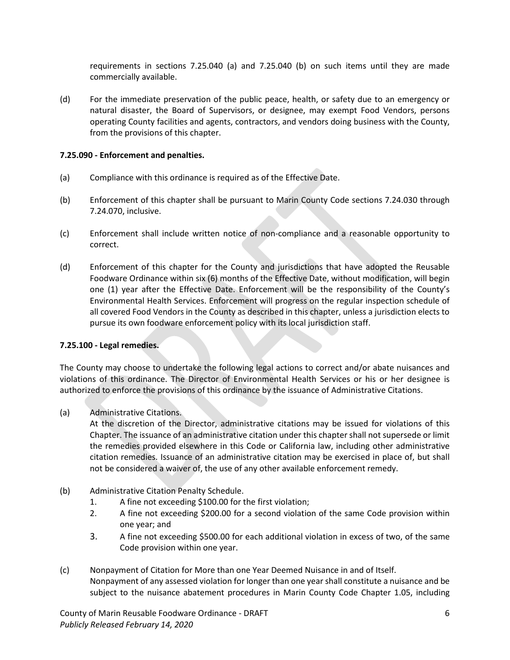requirements in sections 7.25.040 (a) and 7.25.040 (b) on such items until they are made commercially available.

(d) For the immediate preservation of the public peace, health, or safety due to an emergency or natural disaster, the Board of Supervisors, or designee, may exempt Food Vendors, persons operating County facilities and agents, contractors, and vendors doing business with the County, from the provisions of this chapter.

## **7.25.090 - Enforcement and penalties.**

- (a) Compliance with this ordinance is required as of the Effective Date.
- (b) Enforcement of this chapter shall be pursuant to Marin County Code sections 7.24.030 through 7.24.070, inclusive.
- (c) Enforcement shall include written notice of non-compliance and a reasonable opportunity to correct.
- (d) Enforcement of this chapter for the County and jurisdictions that have adopted the Reusable Foodware Ordinance within six (6) months of the Effective Date, without modification, will begin one (1) year after the Effective Date. Enforcement will be the responsibility of the County's Environmental Health Services. Enforcement will progress on the regular inspection schedule of all covered Food Vendors in the County as described in this chapter, unless a jurisdiction elects to pursue its own foodware enforcement policy with its local jurisdiction staff.

## **7.25.100 - Legal remedies.**

The County may choose to undertake the following legal actions to correct and/or abate nuisances and violations of this ordinance. The Director of Environmental Health Services or his or her designee is authorized to enforce the provisions of this ordinance by the issuance of Administrative Citations.

(a) Administrative Citations.

At the discretion of the Director, administrative citations may be issued for violations of this Chapter. The issuance of an administrative citation under this chaptershall not supersede or limit the remedies provided elsewhere in this Code or California law, including other administrative citation remedies. Issuance of an administrative citation may be exercised in place of, but shall not be considered a waiver of, the use of any other available enforcement remedy.

- (b) Administrative Citation Penalty Schedule.
	- 1. A fine not exceeding \$100.00 for the first violation;
	- 2. A fine not exceeding \$200.00 for a second violation of the same Code provision within one year; and
	- 3. A fine not exceeding \$500.00 for each additional violation in excess of two, of the same Code provision within one year.
- (c) Nonpayment of Citation for More than one Year Deemed Nuisance in and of Itself. Nonpayment of any assessed violation for longer than one year shall constitute a nuisance and be subject to the nuisance abatement procedures in Marin County Code Chapter 1.05, including